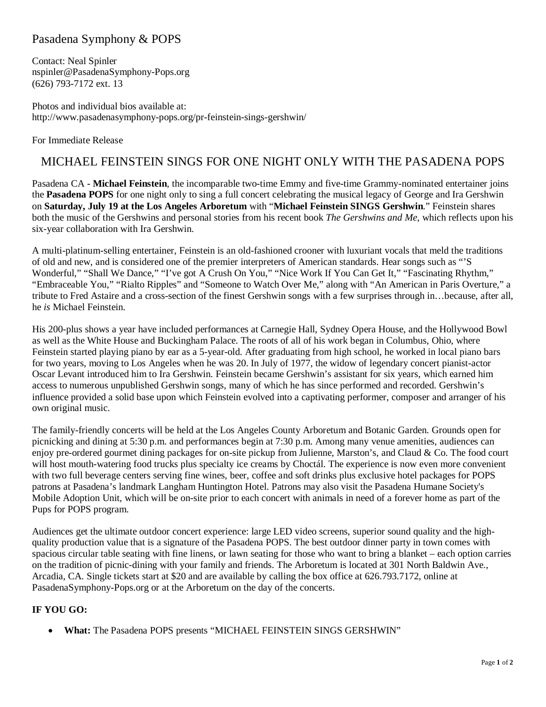## Pasadena Symphony & POPS

Contact: Neal Spinler nspinler@PasadenaSymphony-Pops.org (626) 793-7172 ext. 13

Photos and individual bios available at: http://www.pasadenasymphony-pops.org/pr-feinstein-sings-gershwin/

For Immediate Release

## MICHAEL FEINSTEIN SINGS FOR ONE NIGHT ONLY WITH THE PASADENA POPS

Pasadena CA - **Michael Feinstein**, the incomparable two-time Emmy and five-time Grammy-nominated entertainer joins the **Pasadena POPS** for one night only to sing a full concert celebrating the musical legacy of George and Ira Gershwin on **Saturday, July 19 at the Los Angeles Arboretum** with "**Michael Feinstein SINGS Gershwin**." Feinstein shares both the music of the Gershwins and personal stories from his recent book *The Gershwins and Me*, which reflects upon his six-year collaboration with Ira Gershwin.

A multi-platinum-selling entertainer, Feinstein is an old-fashioned crooner with luxuriant vocals that meld the traditions of old and new, and is considered one of the premier interpreters of American standards. Hear songs such as "'S Wonderful," "Shall We Dance," "I've got A Crush On You," "Nice Work If You Can Get It," "Fascinating Rhythm," "Embraceable You," "Rialto Ripples" and "Someone to Watch Over Me," along with "An American in Paris Overture," a tribute to Fred Astaire and a cross-section of the finest Gershwin songs with a few surprises through in…because, after all, he *is* Michael Feinstein.

His 200-plus shows a year have included performances at Carnegie Hall, Sydney Opera House, and the Hollywood Bowl as well as the White House and Buckingham Palace. The roots of all of his work began in Columbus, Ohio, where Feinstein started playing piano by ear as a 5-year-old. After graduating from high school, he worked in local piano bars for two years, moving to Los Angeles when he was 20. In July of 1977, the widow of legendary concert pianist-actor Oscar Levant introduced him to Ira Gershwin. Feinstein became Gershwin's assistant for six years, which earned him access to numerous unpublished Gershwin songs, many of which he has since performed and recorded. Gershwin's influence provided a solid base upon which Feinstein evolved into a captivating performer, composer and arranger of his own original music.

The family-friendly concerts will be held at the Los Angeles County Arboretum and Botanic Garden. Grounds open for picnicking and dining at 5:30 p.m. and performances begin at 7:30 p.m. Among many venue amenities, audiences can enjoy pre-ordered gourmet dining packages for on-site pickup from Julienne, Marston's, and Claud & Co. The food court will host mouth-watering food trucks plus specialty ice creams by Choctál. The experience is now even more convenient with two full beverage centers serving fine wines, beer, coffee and soft drinks plus exclusive hotel packages for POPS patrons at Pasadena's landmark Langham Huntington Hotel. Patrons may also visit the Pasadena Humane Society's Mobile Adoption Unit, which will be on-site prior to each concert with animals in need of a forever home as part of the Pups for POPS program.

Audiences get the ultimate outdoor concert experience: large LED video screens, superior sound quality and the highquality production value that is a signature of the Pasadena POPS. The best outdoor dinner party in town comes with spacious circular table seating with fine linens, or lawn seating for those who want to bring a blanket – each option carries on the tradition of picnic-dining with your family and friends. The Arboretum is located at 301 North Baldwin Ave., Arcadia, CA. Single tickets start at \$20 and are available by calling the box office at 626.793.7172, online at PasadenaSymphony-Pops.org or at the Arboretum on the day of the concerts.

## **IF YOU GO:**

• **What:** The Pasadena POPS presents "MICHAEL FEINSTEIN SINGS GERSHWIN"